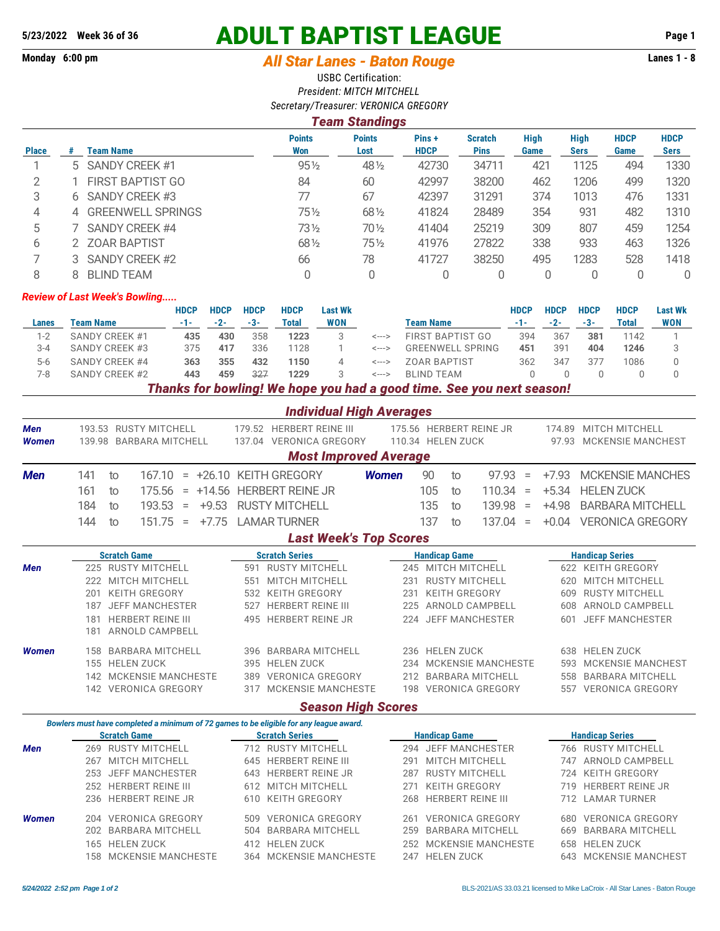## **5/23/2022 Week 36 of 36 ADULT BAPTIST LEAGUE Page 1**

## Monday 6:00 pm *All Star Lanes - Baton Rouge* **Lanes 1 - 8**

USBC Certification: *President: MITCH MITCHELL Secretary/Treasurer: VERONICA GREGORY*

## *Team Standings*

|              |                     | <b>Points</b>   | <b>Points</b>   | Pins+       | <b>Scratch</b> | <b>High</b> | <b>High</b> | <b>HDCP</b> | <b>HDCP</b> |
|--------------|---------------------|-----------------|-----------------|-------------|----------------|-------------|-------------|-------------|-------------|
| <b>Place</b> | Team Name           | Won             | Lost            | <b>HDCP</b> | <b>Pins</b>    | Game        | <b>Sers</b> | Game        | Sers        |
|              | 5 SANDY CREEK #1    | $95\frac{1}{2}$ | 48 1/2          | 42730       | 34711          | 421         | 1125        | 494         | 1330        |
| っ            | FIRST BAPTIST GO    | 84              | 60              | 42997       | 38200          | 462         | 1206        | 499         | 1320        |
| 3            | SANDY CREEK #3      | 77              | 67              | 42397       | 31291          | 374         | 1013        | 476         | 1331        |
| 4            | 4 GREENWELL SPRINGS | 75½             | 681/2           | 41824       | 28489          | 354         | 931         | 482         | 1310        |
| 5            | SANDY CREEK #4      | 73½             | $70\frac{1}{2}$ | 41404       | 25219          | 309         | 807         | 459         | 1254        |
| 6            | 2 ZOAR BAPTIST      | 681/2           | $75\frac{1}{2}$ | 41976       | 27822          | 338         | 933         | 463         | 1326        |
|              | 3 SANDY CREEK #2    | 66              | 78              | 41727       | 38250          | 495         | 1283        | 528         | 1418        |
| 8            | <b>BLIND TEAM</b>   |                 |                 |             |                |             |             |             | 0           |

## *Review of Last Week's Bowling.....*

|       |                | <b>HDCP</b> | <b>HDCP</b> | <b>HDCP</b> | <b>HDCP</b> | <b>Last Wk</b> |                  |                                                                                   | <b>HDCP</b> | <b>HDCP</b> | <b>HDCP</b> | <b>HDCP</b> | <b>Last Wk</b> |
|-------|----------------|-------------|-------------|-------------|-------------|----------------|------------------|-----------------------------------------------------------------------------------|-------------|-------------|-------------|-------------|----------------|
| Lanes | Team Name      | -1-         | $-2-$       | -3-         | Total       | <b>WON</b>     | <b>Team Name</b> |                                                                                   | -1-         | $-2-$       | $-3-$       | Total       | WON            |
| 1-2   | SANDY CREEK #1 | 435         | 430         | 358         | 1223        |                | <--->            | FIRST BAPTIST GO                                                                  | 394         | 367         | 381         | 1142        |                |
| 3-4   | SANDY CREEK #3 | 375         | 417         | 336         | 1128        |                | <--->            | GREENWELL SPRING                                                                  | 451         | 391         | 404         | 1246        |                |
| $5-6$ | SANDY CREEK #4 | 363         | 355         | 432         | 1150        |                | <--->            | <b>70AR BAPTIST</b>                                                               | 362         | 347         | 377         | 1086        |                |
| 7-8   | SANDY CREEK #2 | 443         | 459         | 327         | 1229        |                | <--->            | BI IND TFAM                                                                       |             |             |             |             |                |
|       |                |             |             |             |             |                |                  | Therefor from beautiful at the beach accepted a model time. One composed a recent |             |             |             |             |                |

*Thanks for bowling! We hope you had a good time. See you next season!*

|                              |                           |                                                                                        |                       | <b>Individual High Averages</b> |                      |                               |                          |                           |                   |                          |                          |
|------------------------------|---------------------------|----------------------------------------------------------------------------------------|-----------------------|---------------------------------|----------------------|-------------------------------|--------------------------|---------------------------|-------------------|--------------------------|--------------------------|
| <b>Men</b>                   |                           | 193.53 RUSTY MITCHELL                                                                  |                       | 179.52 HERBERT REINE III        |                      |                               |                          | 175.56 HERBERT REINE JR   |                   |                          | 174.89 MITCH MITCHELL    |
| <b>Women</b>                 |                           | 139.98 BARBARA MITCHELL                                                                |                       | 137.04 VERONICA GREGORY         |                      | 110.34 HELEN ZUCK             |                          |                           | 97.93             | <b>MCKENSIE MANCHEST</b> |                          |
| <b>Most Improved Average</b> |                           |                                                                                        |                       |                                 |                      |                               |                          |                           |                   |                          |                          |
| <b>Men</b>                   | 141                       | 167.10<br>to                                                                           |                       | $= +26.10$ KEITH GREGORY        | <b>Women</b>         | 90                            | to                       | 97.93                     | $\equiv$          | $+7.93$                  | <b>MCKENSIE MANCHES</b>  |
|                              | 161                       | 175.56<br>+14.56<br>to<br>$=$                                                          |                       | <b>HERBERT REINE JR</b>         |                      | 105                           | to                       | 110.34                    | $\equiv$          | $+5.34$                  | <b>HELEN ZUCK</b>        |
|                              | 184                       | $+9.53$<br>193.53<br>to<br>$\equiv$                                                    |                       | <b>RUSTY MITCHELL</b>           |                      | 135                           | to                       | 139.98                    | $\qquad \qquad =$ | $+4.98$                  | <b>BARBARA MITCHELL</b>  |
|                              | 144                       | $+7.75$<br>151.75<br>to<br>$\equiv$                                                    |                       | <b>LAMAR TURNER</b>             |                      | 137                           | to                       | 137.04                    | $\qquad \qquad =$ | $+0.04$                  | <b>VERONICA GREGORY</b>  |
|                              |                           |                                                                                        |                       | <b>Last Week's Top Scores</b>   |                      |                               |                          |                           |                   |                          |                          |
|                              |                           | <b>Scratch Game</b>                                                                    |                       | <b>Scratch Series</b>           |                      |                               | <b>Handicap Game</b>     |                           |                   |                          | <b>Handicap Series</b>   |
| <b>Men</b>                   | 225 RUSTY MITCHELL        |                                                                                        |                       | 591 RUSTY MITCHELL              |                      | 245 MITCH MITCHELL            |                          |                           |                   |                          | 622 KEITH GREGORY        |
|                              |                           | 222 MITCH MITCHELL                                                                     |                       | 551 MITCH MITCHELL              | 231                  |                               | <b>RUSTY MITCHELL</b>    |                           |                   | 620                      | <b>MITCH MITCHELL</b>    |
|                              | 201                       | <b>KEITH GREGORY</b>                                                                   |                       | 532 KEITH GREGORY               | 231                  | <b>KEITH GREGORY</b>          |                          |                           | 609               | <b>RUSTY MITCHELL</b>    |                          |
|                              | 187                       | <b>JEFF MANCHESTER</b>                                                                 | 527                   | <b>HERBERT REINE III</b>        |                      | ARNOLD CAMPBELL<br>225        |                          |                           | 608               | ARNOLD CAMPBELL          |                          |
|                              | 181                       | <b>HERBERT REINE III</b>                                                               | 495                   | <b>HERBERT REINE JR</b>         |                      | <b>JEFF MANCHESTER</b><br>224 |                          |                           | 601               | <b>JEFF MANCHESTER</b>   |                          |
|                              | 181                       | ARNOLD CAMPBELL                                                                        |                       |                                 |                      |                               |                          |                           |                   |                          |                          |
| <b>Women</b>                 | 158                       | <b>BARBARA MITCHELL</b>                                                                |                       | 396 BARBARA MITCHELL            |                      |                               | 236 HELEN ZUCK           |                           |                   | 638                      | <b>HELEN ZUCK</b>        |
|                              |                           | 155 HELEN ZUCK                                                                         | 395                   | <b>HELEN ZUCK</b>               | 234                  |                               |                          | <b>MCKENSIE MANCHESTE</b> |                   | 593                      | <b>MCKENSIE MANCHEST</b> |
|                              |                           | 142 MCKENSIE MANCHESTE                                                                 |                       | 389 VERONICA GREGORY            |                      |                               |                          | 212 BARBARA MITCHELL      |                   | 558                      | <b>BARBARA MITCHELL</b>  |
|                              |                           | 142 VERONICA GREGORY                                                                   |                       | 317 MCKENSIE MANCHESTE          |                      |                               |                          | 198 VERONICA GREGORY      |                   |                          | 557 VERONICA GREGORY     |
|                              | <b>Season High Scores</b> |                                                                                        |                       |                                 |                      |                               |                          |                           |                   |                          |                          |
|                              |                           | Bowlers must have completed a minimum of 72 games to be eligible for any league award. |                       |                                 |                      |                               |                          |                           |                   |                          |                          |
|                              |                           | <b>Scratch Game</b>                                                                    | <b>Scratch Series</b> |                                 | <b>Handicap Game</b> |                               |                          |                           |                   | <b>Handicap Series</b>   |                          |
| <b>Men</b>                   |                           | 269 RUSTY MITCHELL                                                                     |                       | 712 RUSTY MITCHELL              |                      |                               |                          | 294 JEFF MANCHESTER       |                   |                          | 766 RUSTY MITCHELL       |
|                              |                           | 267 MITCH MITCHELL                                                                     |                       | 645 HERBERT REINE III           | 291                  |                               | <b>MITCH MITCHELL</b>    |                           |                   | 747                      | ARNOLD CAMPBELL          |
|                              |                           | 253 JEFF MANCHESTER                                                                    | 643                   | <b>HERBERT REINE JR</b>         | 287                  |                               | <b>RUSTY MITCHELL</b>    |                           |                   | 724                      | <b>KEITH GREGORY</b>     |
|                              |                           | 252 HERBERT REINE III                                                                  |                       | 612 MITCH MITCHELL              | 271                  |                               | <b>KEITH GREGORY</b>     |                           |                   | 719                      | <b>HERBERT REINE JR</b>  |
|                              | 236                       | <b>HERBERT REINE JR</b>                                                                | 610                   | <b>KEITH GREGORY</b>            | 268                  |                               | <b>HERBERT REINE III</b> |                           |                   | 712                      | <b>LAMAR TURNER</b>      |
| <b>Women</b>                 | 204                       | <b>VERONICA GREGORY</b>                                                                | 509                   | <b>VERONICA GREGORY</b>         | 261                  |                               |                          | <b>VERONICA GREGORY</b>   |                   | 680                      | <b>VERONICA GREGORY</b>  |
|                              |                           | 202 BARBARA MITCHELL                                                                   | 504                   | <b>BARBARA MITCHELL</b>         | 259                  |                               |                          | <b>BARBARA MITCHELL</b>   |                   | 669                      | <b>BARBARA MITCHELL</b>  |
|                              |                           | 165 HELEN ZUCK                                                                         |                       | 412 HELEN ZUCK                  |                      |                               |                          | 252 MCKENSIE MANCHESTE    |                   | 658                      | <b>HELEN ZUCK</b>        |
|                              | 158                       | <b>MCKENSIE MANCHESTE</b>                                                              |                       | 364 MCKENSIE MANCHESTE          |                      |                               | 247 HELEN ZUCK           |                           |                   | 643                      | <b>MCKENSIE MANCHEST</b> |